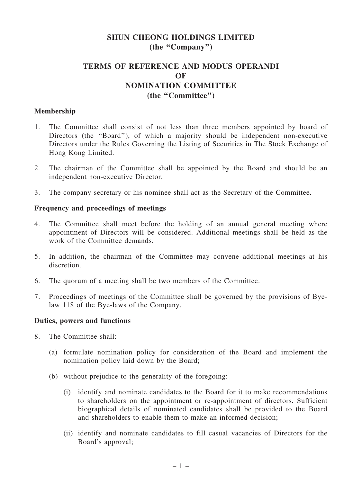## SHUN CHEONG HOLDINGS LIMITED (the "Company")

# TERMS OF REFERENCE AND MODUS OPERANDI OF NOMINATION COMMITTEE (the ''Committee'')

### Membership

- 1. The Committee shall consist of not less than three members appointed by board of Directors (the "Board"), of which a majority should be independent non-executive Directors under the Rules Governing the Listing of Securities in The Stock Exchange of Hong Kong Limited.
- 2. The chairman of the Committee shall be appointed by the Board and should be an independent non-executive Director.
- 3. The company secretary or his nominee shall act as the Secretary of the Committee.

### Frequency and proceedings of meetings

- 4. The Committee shall meet before the holding of an annual general meeting where appointment of Directors will be considered. Additional meetings shall be held as the work of the Committee demands.
- 5. In addition, the chairman of the Committee may convene additional meetings at his discretion.
- 6. The quorum of a meeting shall be two members of the Committee.
- 7. Proceedings of meetings of the Committee shall be governed by the provisions of Byelaw 118 of the Bye-laws of the Company.

### Duties, powers and functions

- 8. The Committee shall:
	- (a) formulate nomination policy for consideration of the Board and implement the nomination policy laid down by the Board;
	- (b) without prejudice to the generality of the foregoing:
		- (i) identify and nominate candidates to the Board for it to make recommendations to shareholders on the appointment or re-appointment of directors. Sufficient biographical details of nominated candidates shall be provided to the Board and shareholders to enable them to make an informed decision;
		- (ii) identify and nominate candidates to fill casual vacancies of Directors for the Board's approval;